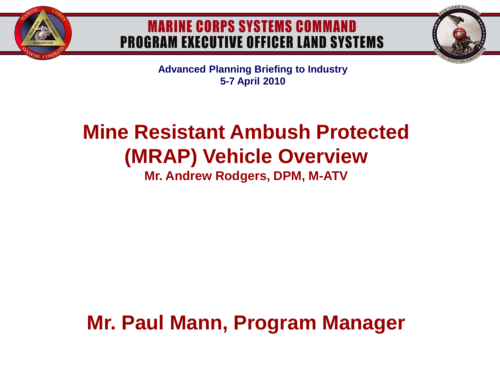

## **MARINE CORPS SYSTEMS COMMAND PROGRAM EXECUTIVE OFFICER LAND SYSTEMS**



**Advanced Planning Briefing to Industry 5-7 April 2010**

# **Mine Resistant Ambush Protected (MRAP) Vehicle Overview**

**Mr. Andrew Rodgers, DPM, M-ATV**

**Mr. Paul Mann, Program Manager**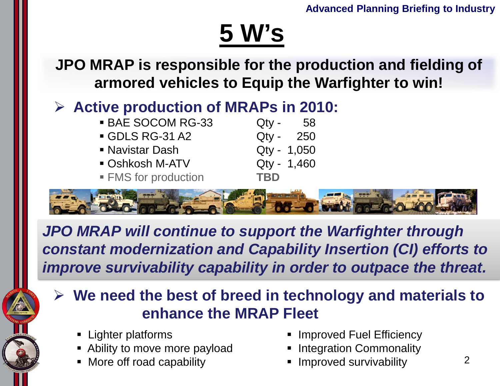# **5 W's**

**JPO MRAP is responsible for the production and fielding of armored vehicles to Equip the Warfighter to win!**

## **Active production of MRAPs in 2010:**

| <b>BAE SOCOM RG-33</b>    | $Q$ ty -    | -58 |
|---------------------------|-------------|-----|
| GDLS RG-31 A2             | Qty - 250   |     |
| • Navistar Dash           | Qty - 1,050 |     |
| <b>- Oshkosh M-ATV</b>    | Qty - 1,460 |     |
| <b>FMS</b> for production | <b>TBD</b>  |     |
|                           |             |     |



*JPO MRAP will continue to support the Warfighter through constant modernization and Capability Insertion (CI) efforts to improve survivability capability in order to outpace the threat.*

- **We need the best of breed in technology and materials to enhance the MRAP Fleet**
	- Lighter platforms
	- Ability to move more payload
	- More off road capability
- Improved Fuel Efficiency
- **Integration Commonality**
- Improved survivability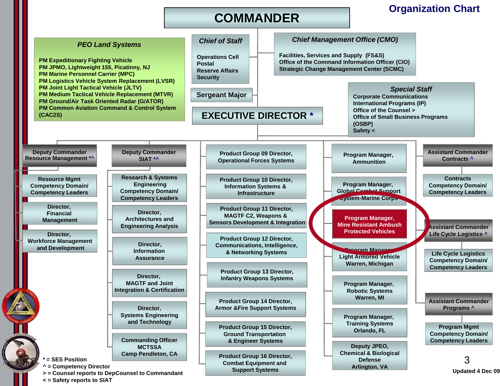### **COMMANDER**

### **Organization Chart**



**< = Safety reports to SIAT**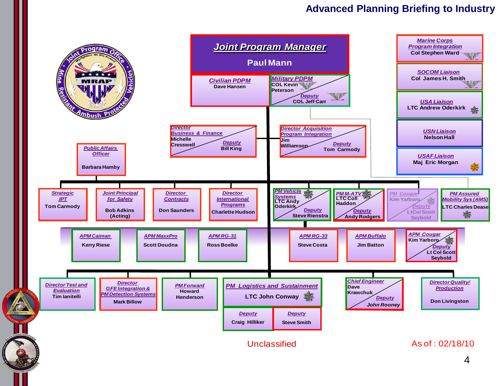### **Advanced Planning Briefing to Industry**

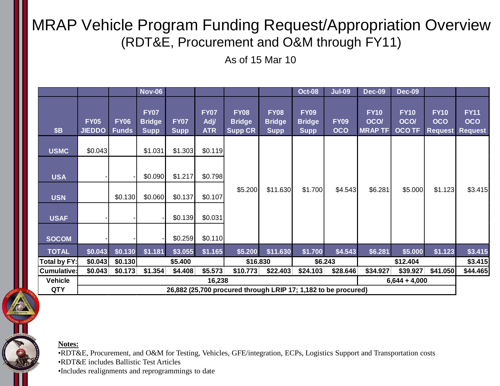## MRAP Vehicle Program Funding Request/Appropriation Overview (RDT&E, Procurement and O&M through FY11)

As of 15 Mar 10

|                              |                                                                                             |                             | <b>Nov-06</b>                               |                            |                                  |                                                |                                             | <b>Oct-08</b>                               | <b>Jul-09</b>             | <b>Dec-09</b>                               | <b>Dec-09</b>                               |                                             |                                      |
|------------------------------|---------------------------------------------------------------------------------------------|-----------------------------|---------------------------------------------|----------------------------|----------------------------------|------------------------------------------------|---------------------------------------------|---------------------------------------------|---------------------------|---------------------------------------------|---------------------------------------------|---------------------------------------------|--------------------------------------|
| <b>\$B</b>                   | <b>FY05</b><br><b>JIEDDO</b>                                                                | <b>FY06</b><br><b>Funds</b> | <b>FY07</b><br><b>Bridge</b><br><b>Supp</b> | <b>FY07</b><br><b>Supp</b> | <b>FY07</b><br>Adj<br><b>ATR</b> | <b>FY08</b><br><b>Bridge</b><br><b>Supp CR</b> | <b>FY08</b><br><b>Bridge</b><br><b>Supp</b> | <b>FY09</b><br><b>Bridge</b><br><b>Supp</b> | <b>FY09</b><br><b>OCO</b> | <b>FY10</b><br><b>OCO/</b><br><b>MRAPTF</b> | <b>FY10</b><br><b>OCO/</b><br><b>OCO TF</b> | <b>FY10</b><br><b>OCO</b><br><b>Request</b> | <b>FY11</b><br>OCO<br><b>Request</b> |
| <b>USMC</b>                  | \$0.043                                                                                     |                             | \$1.031                                     | \$1.303                    | \$0.119                          |                                                |                                             |                                             |                           |                                             |                                             |                                             |                                      |
| <b>USA</b>                   |                                                                                             |                             | \$0.090                                     | \$1.217                    | \$0.798                          |                                                |                                             |                                             |                           |                                             |                                             |                                             |                                      |
| <b>USN</b>                   |                                                                                             | \$0.130                     | \$0.060                                     | \$0.137                    | \$0.107                          | \$5.200                                        | \$11.630                                    | \$1.700                                     | \$4.543                   | \$6.281                                     | \$5.000                                     | \$1.123                                     | \$3.415                              |
| <b>USAF</b>                  |                                                                                             |                             |                                             | \$0.139                    | \$0.031                          |                                                |                                             |                                             |                           |                                             |                                             |                                             |                                      |
| <b>SOCOM</b>                 |                                                                                             |                             |                                             | \$0.259                    | \$0.110                          |                                                |                                             |                                             |                           |                                             |                                             |                                             |                                      |
| <b>TOTAL</b>                 | \$0.043                                                                                     | \$0.130                     | \$1.181                                     | \$3.055                    | \$1.165                          | \$5.200                                        | \$11.630                                    | \$1.700                                     | \$4.543                   | \$6.281                                     | \$5.000                                     | \$1.123                                     | \$3.415                              |
| Total by FY:                 | \$0.043                                                                                     | \$0.130                     | \$5.400                                     |                            | \$16.830                         |                                                | \$6.243                                     |                                             | \$12.404                  |                                             | \$3.415                                     |                                             |                                      |
| <b>Cumulative:</b>           | \$0.043                                                                                     | \$0.173                     | \$1.354                                     | \$4.408                    | \$5.573                          | \$10.773                                       | \$22.403                                    | \$24.103                                    | \$28.646                  | \$34.927                                    | \$39.927                                    | \$41.050                                    | \$44.465                             |
| <b>Vehicle</b><br><b>QTY</b> | $6,644 + 4,000$<br>16,238<br>26,882 (25,700 procured through LRIP 17; 1,182 to be procured) |                             |                                             |                            |                                  |                                                |                                             |                                             |                           |                                             |                                             |                                             |                                      |
|                              |                                                                                             |                             |                                             |                            |                                  |                                                |                                             |                                             |                           |                                             |                                             |                                             |                                      |

#### **Notes:**

•RDT&E, Procurement, and O&M for Testing, Vehicles, GFE/integration, ECPs, Logistics Support and Transportation costs •RDT&E includes Ballistic Test Articles

•Includes realignments and reprogrammings to date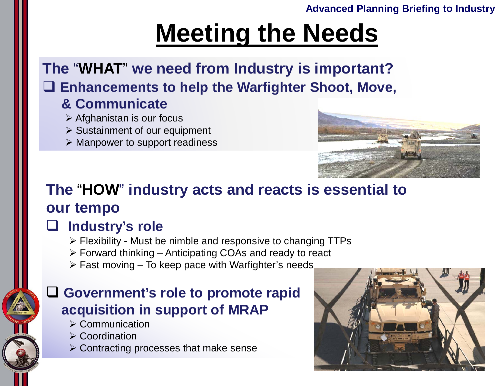### **Advanced Planning Briefing to Industry**

# **Meeting the Needs**

**The** "**WHAT**" **we need from Industry is important? Enhancements to help the Warfighter Shoot, Move,**

### **& Communicate**

- $\triangleright$  Afghanistan is our focus
- $\triangleright$  Sustainment of our equipment
- $\triangleright$  Manpower to support readiness



## **The** "**HOW**" **industry acts and reacts is essential to our tempo**

## **Industry's role**

- $\triangleright$  Flexibility Must be nimble and responsive to changing TTPs
- $\triangleright$  Forward thinking Anticipating COAs and ready to react
- $\triangleright$  Fast moving To keep pace with Warfighter's needs

### **Government's role to promote rapid acquisition in support of MRAP**

- $\triangleright$  Communication
- $\triangleright$  Coordination
- $\triangleright$  Contracting processes that make sense